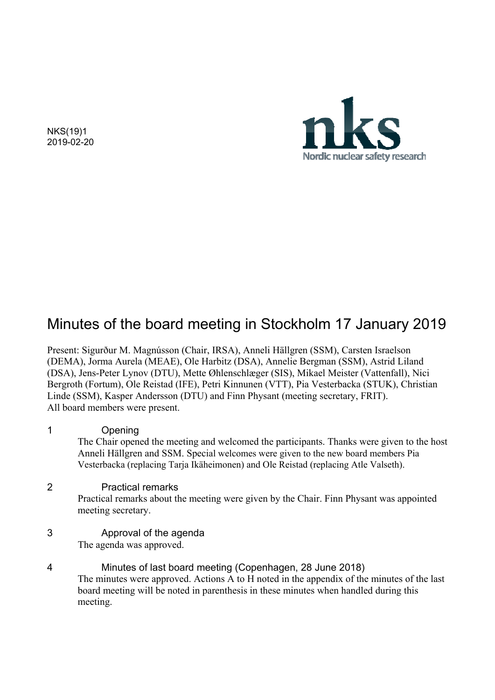NKS(19)1 2019-02-20



# Minutes of the board meeting in Stockholm 17 January 2019

Present: Sigurður M. Magnússon (Chair, IRSA), Anneli Hällgren (SSM), Carsten Israelson (DEMA), Jorma Aurela (MEAE), Ole Harbitz (DSA), Annelie Bergman (SSM), Astrid Liland (DSA), Jens-Peter Lynov (DTU), Mette Øhlenschlæger (SIS), Mikael Meister (Vattenfall), Nici Bergroth (Fortum), Ole Reistad (IFE), Petri Kinnunen (VTT), Pia Vesterbacka (STUK), Christian Linde (SSM), Kasper Andersson (DTU) and Finn Physant (meeting secretary, FRIT). All board members were present.

- 1 Opening The Chair opened the meeting and welcomed the participants. Thanks were given to the host Anneli Hällgren and SSM. Special welcomes were given to the new board members Pia Vesterbacka (replacing Tarja Ikäheimonen) and Ole Reistad (replacing Atle Valseth). 2 Practical remarks Practical remarks about the meeting were given by the Chair. Finn Physant was appointed meeting secretary. 3 Approval of the agenda The agenda was approved.
- 4 Minutes of last board meeting (Copenhagen, 28 June 2018) The minutes were approved. Actions A to H noted in the appendix of the minutes of the last board meeting will be noted in parenthesis in these minutes when handled during this meeting.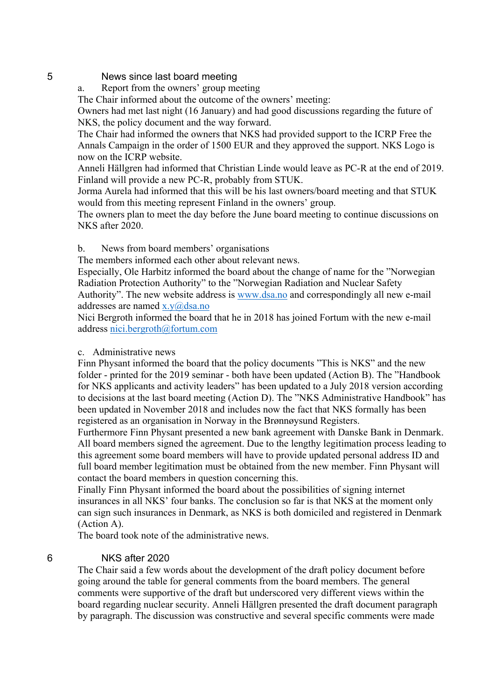#### 5 News since last board meeting

a. Report from the owners' group meeting

The Chair informed about the outcome of the owners' meeting:

Owners had met last night (16 January) and had good discussions regarding the future of NKS, the policy document and the way forward.

The Chair had informed the owners that NKS had provided support to the ICRP Free the Annals Campaign in the order of 1500 EUR and they approved the support. NKS Logo is now on the ICRP website.

Anneli Hällgren had informed that Christian Linde would leave as PC-R at the end of 2019. Finland will provide a new PC-R, probably from STUK.

Jorma Aurela had informed that this will be his last owners/board meeting and that STUK would from this meeting represent Finland in the owners' group.

The owners plan to meet the day before the June board meeting to continue discussions on NKS after 2020.

b. News from board members' organisations

The members informed each other about relevant news.

Especially, Ole Harbitz informed the board about the change of name for the "Norwegian Radiation Protection Authority" to the "Norwegian Radiation and Nuclear Safety Authority". The new website address is www.dsa.no and correspondingly all new e-mail addresses are named x.y@dsa.no

Nici Bergroth informed the board that he in 2018 has joined Fortum with the new e-mail address nici.bergroth@fortum.com

#### c. Administrative news

Finn Physant informed the board that the policy documents "This is NKS" and the new folder - printed for the 2019 seminar - both have been updated (Action B). The "Handbook for NKS applicants and activity leaders" has been updated to a July 2018 version according to decisions at the last board meeting (Action D). The "NKS Administrative Handbook" has been updated in November 2018 and includes now the fact that NKS formally has been registered as an organisation in Norway in the Brønnøysund Registers.

Furthermore Finn Physant presented a new bank agreement with Danske Bank in Denmark. All board members signed the agreement. Due to the lengthy legitimation process leading to this agreement some board members will have to provide updated personal address ID and full board member legitimation must be obtained from the new member. Finn Physant will contact the board members in question concerning this.

Finally Finn Physant informed the board about the possibilities of signing internet insurances in all NKS' four banks. The conclusion so far is that NKS at the moment only can sign such insurances in Denmark, as NKS is both domiciled and registered in Denmark (Action A).

The board took note of the administrative news.

#### 6 NKS after 2020

The Chair said a few words about the development of the draft policy document before going around the table for general comments from the board members. The general comments were supportive of the draft but underscored very different views within the board regarding nuclear security. Anneli Hällgren presented the draft document paragraph by paragraph. The discussion was constructive and several specific comments were made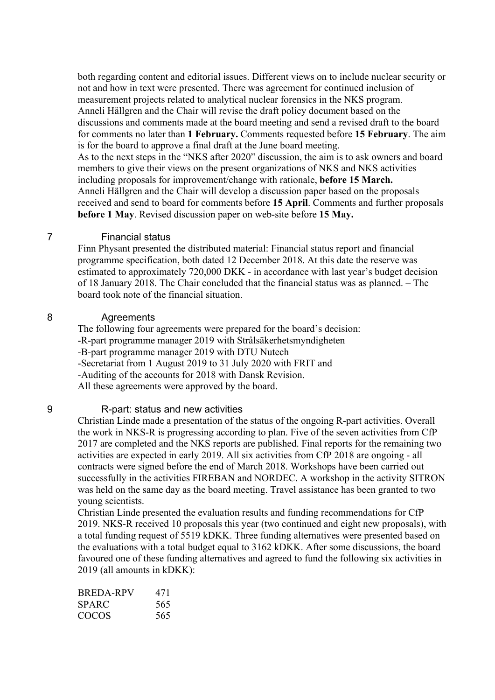both regarding content and editorial issues. Different views on to include nuclear security or not and how in text were presented. There was agreement for continued inclusion of measurement projects related to analytical nuclear forensics in the NKS program. Anneli Hällgren and the Chair will revise the draft policy document based on the discussions and comments made at the board meeting and send a revised draft to the board for comments no later than **1 February.** Comments requested before **15 February**. The aim is for the board to approve a final draft at the June board meeting. As to the next steps in the "NKS after 2020" discussion, the aim is to ask owners and board members to give their views on the present organizations of NKS and NKS activities including proposals for improvement/change with rationale, **before 15 March.** Anneli Hällgren and the Chair will develop a discussion paper based on the proposals received and send to board for comments before **15 April**. Comments and further proposals **before 1 May**. Revised discussion paper on web-site before **15 May.** 

#### 7 Financial status

Finn Physant presented the distributed material: Financial status report and financial programme specification, both dated 12 December 2018. At this date the reserve was estimated to approximately 720,000 DKK - in accordance with last year's budget decision of 18 January 2018. The Chair concluded that the financial status was as planned. – The board took note of the financial situation.

#### 8 Agreements

The following four agreements were prepared for the board's decision: -R-part programme manager 2019 with Strålsäkerhetsmyndigheten -B-part programme manager 2019 with DTU Nutech -Secretariat from 1 August 2019 to 31 July 2020 with FRIT and -Auditing of the accounts for 2018 with Dansk Revision. All these agreements were approved by the board.

#### 9 R-part: status and new activities

Christian Linde made a presentation of the status of the ongoing R-part activities. Overall the work in NKS-R is progressing according to plan. Five of the seven activities from CfP 2017 are completed and the NKS reports are published. Final reports for the remaining two activities are expected in early 2019. All six activities from CfP 2018 are ongoing - all contracts were signed before the end of March 2018. Workshops have been carried out successfully in the activities FIREBAN and NORDEC. A workshop in the activity SITRON was held on the same day as the board meeting. Travel assistance has been granted to two young scientists.

Christian Linde presented the evaluation results and funding recommendations for CfP 2019. NKS-R received 10 proposals this year (two continued and eight new proposals), with a total funding request of 5519 kDKK. Three funding alternatives were presented based on the evaluations with a total budget equal to 3162 kDKK. After some discussions, the board favoured one of these funding alternatives and agreed to fund the following six activities in 2019 (all amounts in kDKK):

| BREDA-RPV | 471 |
|-----------|-----|
| SPARC     | 565 |
| COCOS     | 565 |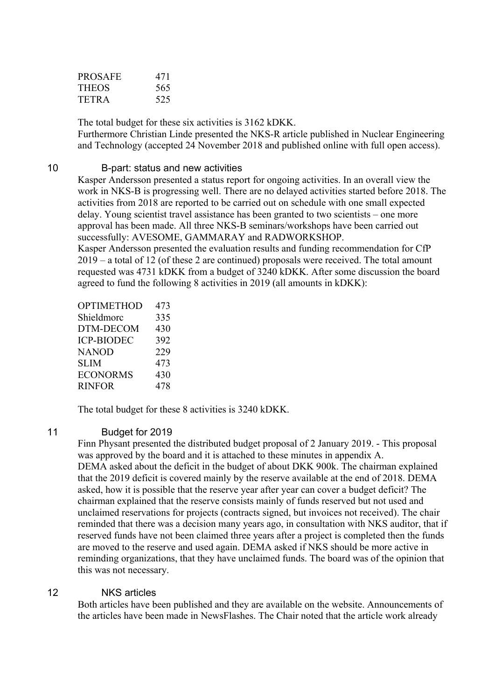| PROSAFE | 471 |
|---------|-----|
| THEOS   | 565 |
| TETR A  | 525 |

The total budget for these six activities is 3162 kDKK.

Furthermore Christian Linde presented the NKS-R article published in Nuclear Engineering and Technology (accepted 24 November 2018 and published online with full open access).

#### 10 B-part: status and new activities

Kasper Andersson presented a status report for ongoing activities. In an overall view the work in NKS-B is progressing well. There are no delayed activities started before 2018. The activities from 2018 are reported to be carried out on schedule with one small expected delay. Young scientist travel assistance has been granted to two scientists – one more approval has been made. All three NKS-B seminars/workshops have been carried out successfully: AVESOME, GAMMARAY and RADWORKSHOP.

Kasper Andersson presented the evaluation results and funding recommendation for CfP 2019 – a total of 12 (of these 2 are continued) proposals were received. The total amount requested was 4731 kDKK from a budget of 3240 kDKK. After some discussion the board agreed to fund the following 8 activities in 2019 (all amounts in kDKK):

| <b>OPTIMETHOD</b> | 473 |
|-------------------|-----|
| Shieldmorc        | 335 |
| DTM-DECOM         | 430 |
| <b>ICP-BIODEC</b> | 392 |
| <b>NANOD</b>      | 229 |
| <b>SLIM</b>       | 473 |
| <b>ECONORMS</b>   | 430 |
| <b>RINFOR</b>     | 478 |

The total budget for these 8 activities is 3240 kDKK.

#### 11 Budget for 2019

Finn Physant presented the distributed budget proposal of 2 January 2019. - This proposal was approved by the board and it is attached to these minutes in appendix A. DEMA asked about the deficit in the budget of about DKK 900k. The chairman explained that the 2019 deficit is covered mainly by the reserve available at the end of 2018. DEMA asked, how it is possible that the reserve year after year can cover a budget deficit? The chairman explained that the reserve consists mainly of funds reserved but not used and unclaimed reservations for projects (contracts signed, but invoices not received). The chair reminded that there was a decision many years ago, in consultation with NKS auditor, that if reserved funds have not been claimed three years after a project is completed then the funds are moved to the reserve and used again. DEMA asked if NKS should be more active in reminding organizations, that they have unclaimed funds. The board was of the opinion that this was not necessary.

#### 12 NKS articles

Both articles have been published and they are available on the website. Announcements of the articles have been made in NewsFlashes. The Chair noted that the article work already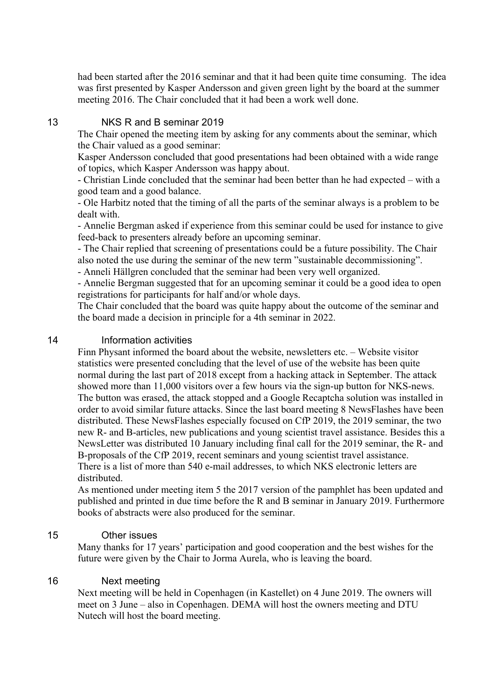had been started after the 2016 seminar and that it had been quite time consuming. The idea was first presented by Kasper Andersson and given green light by the board at the summer meeting 2016. The Chair concluded that it had been a work well done.

#### 13 NKS R and B seminar 2019

The Chair opened the meeting item by asking for any comments about the seminar, which the Chair valued as a good seminar:

Kasper Andersson concluded that good presentations had been obtained with a wide range of topics, which Kasper Andersson was happy about.

- Christian Linde concluded that the seminar had been better than he had expected – with a good team and a good balance.

- Ole Harbitz noted that the timing of all the parts of the seminar always is a problem to be dealt with.

- Annelie Bergman asked if experience from this seminar could be used for instance to give feed-back to presenters already before an upcoming seminar.

- The Chair replied that screening of presentations could be a future possibility. The Chair also noted the use during the seminar of the new term "sustainable decommissioning".

- Anneli Hällgren concluded that the seminar had been very well organized.

- Annelie Bergman suggested that for an upcoming seminar it could be a good idea to open registrations for participants for half and/or whole days.

The Chair concluded that the board was quite happy about the outcome of the seminar and the board made a decision in principle for a 4th seminar in 2022.

#### 14 Information activities

Finn Physant informed the board about the website, newsletters etc. – Website visitor statistics were presented concluding that the level of use of the website has been quite normal during the last part of 2018 except from a hacking attack in September. The attack showed more than 11,000 visitors over a few hours via the sign-up button for NKS-news. The button was erased, the attack stopped and a Google Recaptcha solution was installed in order to avoid similar future attacks. Since the last board meeting 8 NewsFlashes have been distributed. These NewsFlashes especially focused on CfP 2019, the 2019 seminar, the two new R- and B-articles, new publications and young scientist travel assistance. Besides this a NewsLetter was distributed 10 January including final call for the 2019 seminar, the R- and B-proposals of the CfP 2019, recent seminars and young scientist travel assistance. There is a list of more than 540 e-mail addresses, to which NKS electronic letters are distributed.

As mentioned under meeting item 5 the 2017 version of the pamphlet has been updated and published and printed in due time before the R and B seminar in January 2019. Furthermore books of abstracts were also produced for the seminar.

#### 15 Other issues

Many thanks for 17 years' participation and good cooperation and the best wishes for the future were given by the Chair to Jorma Aurela, who is leaving the board.

#### 16 Next meeting

Next meeting will be held in Copenhagen (in Kastellet) on 4 June 2019. The owners will meet on 3 June – also in Copenhagen. DEMA will host the owners meeting and DTU Nutech will host the board meeting.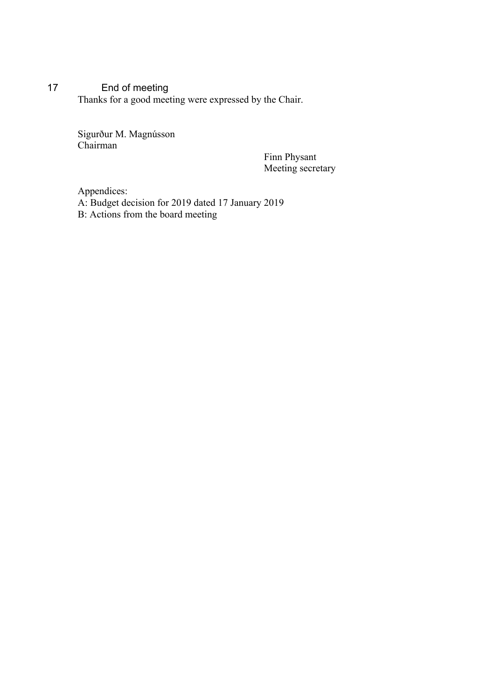### 17 End of meeting Thanks for a good meeting were expressed by the Chair.

Sigurður M. Magnússon Chairman

Finn Physant Meeting secretary

Appendices: A: Budget decision for 2019 dated 17 January 2019 B: Actions from the board meeting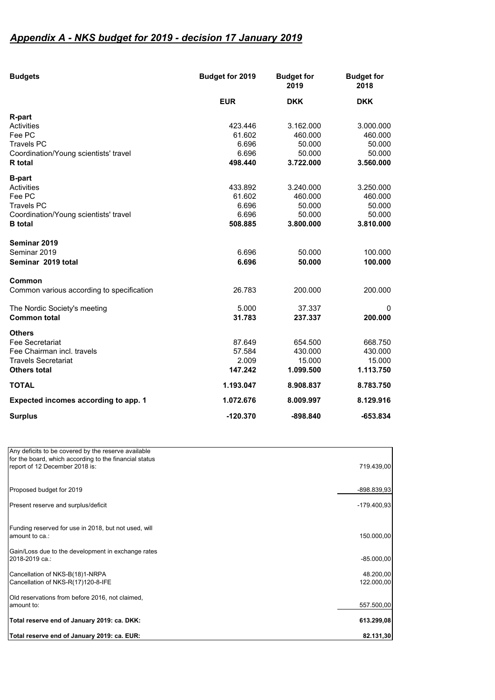## *Appendix A - NKS budget for 2019 - decision 17 January 2019*

| <b>Budgets</b>                            | Budget for 2019 | <b>Budget for</b><br>2019 | <b>Budget for</b><br>2018 |
|-------------------------------------------|-----------------|---------------------------|---------------------------|
|                                           | <b>EUR</b>      | <b>DKK</b>                | <b>DKK</b>                |
| R-part                                    |                 |                           |                           |
| Activities                                | 423.446         | 3.162.000                 | 3.000.000                 |
| Fee PC                                    | 61.602          | 460.000                   | 460.000                   |
| <b>Travels PC</b>                         | 6.696           | 50.000                    | 50.000                    |
| Coordination/Young scientists' travel     | 6.696           | 50.000                    | 50.000                    |
| <b>R</b> total                            | 498.440         | 3.722.000                 | 3.560.000                 |
| <b>B-part</b>                             |                 |                           |                           |
| Activities                                | 433.892         | 3.240.000                 | 3.250.000                 |
| Fee PC                                    | 61.602          | 460.000                   | 460.000                   |
| <b>Travels PC</b>                         | 6.696           | 50.000                    | 50.000                    |
| Coordination/Young scientists' travel     | 6.696           | 50.000                    | 50.000                    |
| <b>B</b> total                            | 508.885         | 3.800.000                 | 3.810.000                 |
| Seminar 2019                              |                 |                           |                           |
| Seminar 2019                              | 6.696           | 50.000                    | 100.000                   |
| Seminar 2019 total                        | 6.696           | 50,000                    | 100.000                   |
| Common                                    |                 |                           |                           |
| Common various according to specification | 26.783          | 200.000                   | 200.000                   |
| The Nordic Society's meeting              | 5.000           | 37.337                    | 0                         |
| <b>Common total</b>                       | 31.783          | 237.337                   | 200.000                   |
| <b>Others</b>                             |                 |                           |                           |
| Fee Secretariat                           | 87.649          | 654.500                   | 668.750                   |
| Fee Chairman incl. travels                | 57.584          | 430.000                   | 430.000                   |
| <b>Travels Secretariat</b>                | 2.009           | 15.000                    | 15.000                    |
| <b>Others total</b>                       | 147.242         | 1.099.500                 | 1.113.750                 |
| <b>TOTAL</b>                              | 1.193.047       | 8.908.837                 | 8.783.750                 |
| Expected incomes according to app. 1      | 1.072.676       | 8.009.997                 | 8.129.916                 |
| <b>Surplus</b>                            | $-120.370$      | $-898.840$                | $-653.834$                |

| Total reserve end of January 2019: ca. EUR:                                              | 82.131,30               |
|------------------------------------------------------------------------------------------|-------------------------|
| Total reserve end of January 2019: ca. DKK:                                              | 613.299,08              |
| Old reservations from before 2016, not claimed,<br>amount to:                            | 557.500,00              |
| Cancellation of NKS-B(18)1-NRPA<br>Cancellation of NKS-R(17)120-8-IFE                    | 48.200,00<br>122.000,00 |
| Gain/Loss due to the development in exchange rates<br>2018-2019 ca.:                     | $-85.000,00$            |
| Funding reserved for use in 2018, but not used, will<br>amount to ca.:                   | 150.000,00              |
| Present reserve and surplus/deficit                                                      | $-179.400.93$           |
| Proposed budget for 2019                                                                 | -898.839,93             |
| for the board, which according to the financial status<br>report of 12 December 2018 is: | 719.439,00              |
| Any deficits to be covered by the reserve available                                      |                         |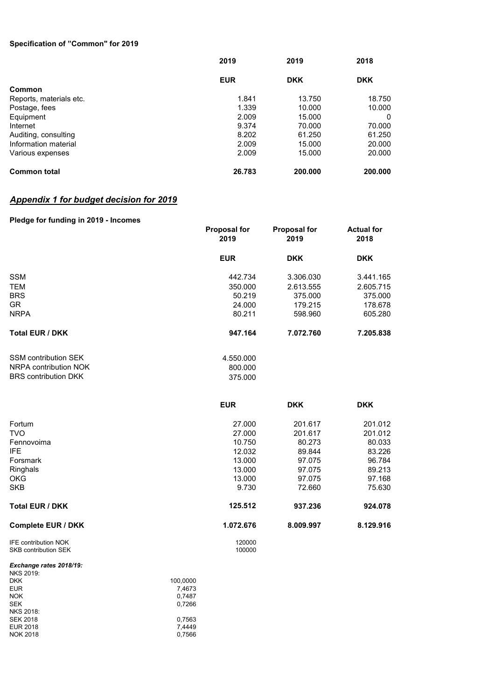#### **Specification of "Common" for 2019**

|                         | 2019       | 2019       | 2018       |
|-------------------------|------------|------------|------------|
|                         | <b>EUR</b> | <b>DKK</b> | <b>DKK</b> |
| Common                  |            |            |            |
| Reports, materials etc. | 1.841      | 13.750     | 18.750     |
| Postage, fees           | 1.339      | 10.000     | 10.000     |
| Equipment               | 2.009      | 15.000     | 0          |
| Internet                | 9.374      | 70.000     | 70.000     |
| Auditing, consulting    | 8.202      | 61.250     | 61.250     |
| Information material    | 2.009      | 15.000     | 20.000     |
| Various expenses        | 2.009      | 15.000     | 20.000     |
| <b>Common total</b>     | 26.783     | 200.000    | 200,000    |

#### *Appendix 1 for budget decision for 2019*

#### **Pledge for funding in 2019 - Incomes Proposal for 2019 Proposal for 2019 Actual for 2018 EUR DKK DKK** SSM 3.441.165 TEM 350.000 2.613.555 2.605.715 BRS 50.219 375.000 375.000 GR 24.000 179.215 178.678 NRPA 80.211 598.960 605.280 **Total EUR / DKK 947.164 7.072.760 7.205.838** SSM contribution SEK 4.550.000 NRPA contribution NOK 800.000<br>BRS contribution DKK 375.000 BRS contribution DKK **EUR DKK DKK** Fortum 27.000 201.617 201.012 TVO 27.000 201.617 201.012 Fennovoima 10.750 80.273 80.033 IFE 12.032 89.844 83.226 Forsmark 13.000 97.075 96.784 Ringhals 13.000 97.075 89.213 OKG 13.000 97.075 97.168 SKB 9.730 72.660 75.630 **Total EUR / DKK 125.512 937.236 924.078 Complete EUR / DKK 1.072.676 8.009.997 8.129.916** IFE contribution NOK 120000<br>SKB contribution SEK 100000 SKB contribution SEK *Exchange rates 2018/19:*

| <b>NKS 2019:</b> |          |
|------------------|----------|
| <b>DKK</b>       | 100.0000 |
| <b>EUR</b>       | 7,4673   |
| <b>NOK</b>       | 0.7487   |
| <b>SEK</b>       | 0,7266   |
| <b>NKS 2018:</b> |          |
| <b>SEK 2018</b>  | 0.7563   |
| EUR 2018         | 7.4449   |
| <b>NOK 2018</b>  | 0.7566   |
|                  |          |